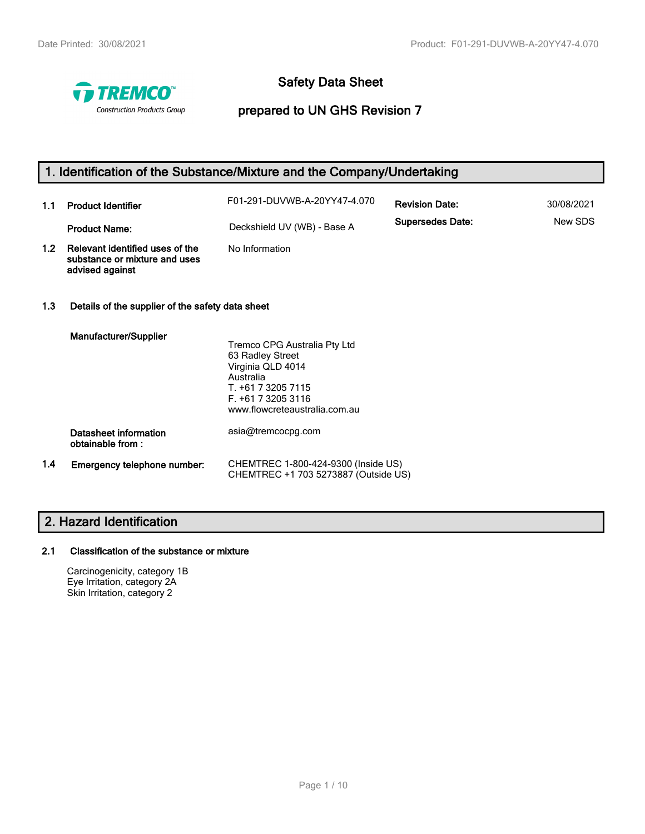

# **Safety Data Sheet**

# **prepared to UN GHS Revision 7**

# **1. Identification of the Substance/Mixture and the Company/Undertaking**

| 1.1              | <b>Product Identifier</b>                                                           | F01-291-DUVWB-A-20YY47-4.070 | <b>Revision Date:</b>   | 30/08/2021 |
|------------------|-------------------------------------------------------------------------------------|------------------------------|-------------------------|------------|
|                  | <b>Product Name:</b>                                                                | Deckshield UV (WB) - Base A  | <b>Supersedes Date:</b> | New SDS    |
| 1.2 <sub>2</sub> | Relevant identified uses of the<br>substance or mixture and uses<br>advised against | No Information               |                         |            |

### **1.3 Details of the supplier of the safety data sheet**

|     | Manufacturer/Supplier                     |                                                                             |
|-----|-------------------------------------------|-----------------------------------------------------------------------------|
|     |                                           | Tremco CPG Australia Pty Ltd                                                |
|     |                                           | 63 Radley Street                                                            |
|     |                                           | Virginia QLD 4014                                                           |
|     |                                           | Australia                                                                   |
|     |                                           | T. +61 7 3205 7115                                                          |
|     |                                           | $F. +61732053116$                                                           |
|     |                                           | www.flowcreteaustralia.com.au                                               |
|     | Datasheet information<br>obtainable from: | asia@tremcocpg.com                                                          |
| 1.4 | Emergency telephone number:               | CHEMTREC 1-800-424-9300 (Inside US)<br>CHEMTREC +1 703 5273887 (Outside US) |

# **2. Hazard Identification**

### **2.1 Classification of the substance or mixture**

Carcinogenicity, category 1B Eye Irritation, category 2A Skin Irritation, category 2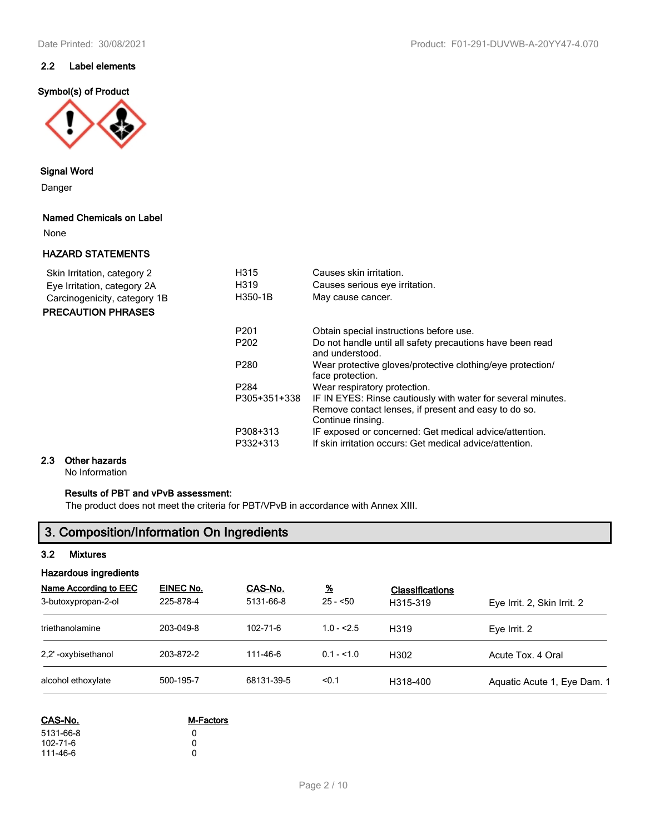# **2.2 Label elements**

## **Symbol(s) of Product**



### **Signal Word**

Danger

#### **Named Chemicals on Label**

None

### **HAZARD STATEMENTS**

| Skin Irritation, category 2  | H315             | Causes skin irritation.                                                                                                                   |
|------------------------------|------------------|-------------------------------------------------------------------------------------------------------------------------------------------|
| Eye Irritation, category 2A  | H319             | Causes serious eye irritation.                                                                                                            |
| Carcinogenicity, category 1B | H350-1B          | May cause cancer.                                                                                                                         |
| <b>PRECAUTION PHRASES</b>    |                  |                                                                                                                                           |
|                              | P <sub>201</sub> | Obtain special instructions before use.                                                                                                   |
|                              | P <sub>202</sub> | Do not handle until all safety precautions have been read<br>and understood.                                                              |
|                              | P <sub>280</sub> | Wear protective gloves/protective clothing/eye protection/<br>face protection.                                                            |
|                              | P <sub>284</sub> | Wear respiratory protection.                                                                                                              |
|                              | P305+351+338     | IF IN EYES: Rinse cautiously with water for several minutes.<br>Remove contact lenses, if present and easy to do so.<br>Continue rinsing. |
|                              | P308+313         | IF exposed or concerned: Get medical advice/attention.                                                                                    |
|                              | P332+313         | If skin irritation occurs: Get medical advice/attention.                                                                                  |

# **2.3 Other hazards**

No Information

# **Results of PBT and vPvB assessment:**

The product does not meet the criteria for PBT/VPvB in accordance with Annex XIII.

# **3. Composition/Information On Ingredients**

### **3.2 Mixtures**

| <b>Hazardous ingredients</b>                 |                        |                      |                            |                                    |                             |  |
|----------------------------------------------|------------------------|----------------------|----------------------------|------------------------------------|-----------------------------|--|
| Name According to EEC<br>3-butoxypropan-2-ol | EINEC No.<br>225-878-4 | CAS-No.<br>5131-66-8 | $\frac{9}{6}$<br>$25 - 50$ | <b>Classifications</b><br>H315-319 | Eye Irrit. 2, Skin Irrit. 2 |  |
| triethanolamine                              | 203-049-8              | 102-71-6             | $1.0 - 2.5$                | H319                               | Eve Irrit. 2                |  |
| 2.2' -oxybisethanol                          | 203-872-2              | 111-46-6             | $0.1 - 51.0$               | H <sub>302</sub>                   | Acute Tox. 4 Oral           |  |
| alcohol ethoxylate                           | 500-195-7              | 68131-39-5           | < 0.1                      | H318-400                           | Aquatic Acute 1, Eye Dam. 1 |  |

| <b>M-Factors</b> |  |  |
|------------------|--|--|
| n                |  |  |
| n                |  |  |
| n                |  |  |
|                  |  |  |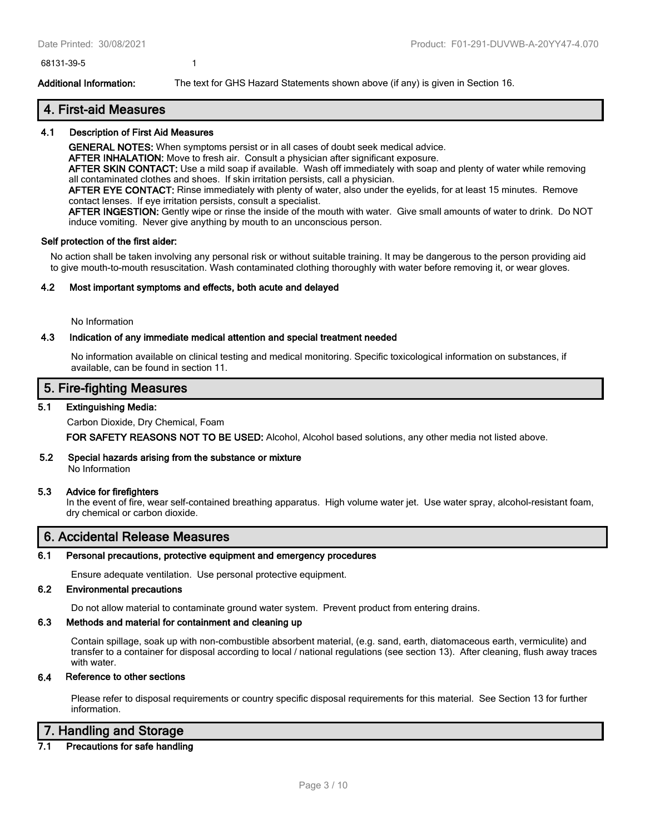68131-39-5 1

**Additional Information:** The text for GHS Hazard Statements shown above (if any) is given in Section 16.

# **4. First-aid Measures**

### **4.1 Description of First Aid Measures**

**GENERAL NOTES:** When symptoms persist or in all cases of doubt seek medical advice.

**AFTER INHALATION:** Move to fresh air. Consult a physician after significant exposure.

**AFTER SKIN CONTACT:** Use a mild soap if available. Wash off immediately with soap and plenty of water while removing all contaminated clothes and shoes. If skin irritation persists, call a physician.

**AFTER EYE CONTACT:** Rinse immediately with plenty of water, also under the eyelids, for at least 15 minutes. Remove contact lenses. If eye irritation persists, consult a specialist.

**AFTER INGESTION:** Gently wipe or rinse the inside of the mouth with water. Give small amounts of water to drink. Do NOT induce vomiting. Never give anything by mouth to an unconscious person.

#### **Self protection of the first aider:**

No action shall be taken involving any personal risk or without suitable training. It may be dangerous to the person providing aid to give mouth-to-mouth resuscitation. Wash contaminated clothing thoroughly with water before removing it, or wear gloves.

### **4.2 Most important symptoms and effects, both acute and delayed**

No Information

### **4.3 Indication of any immediate medical attention and special treatment needed**

No information available on clinical testing and medical monitoring. Specific toxicological information on substances, if available, can be found in section 11.

# **5. Fire-fighting Measures**

### **5.1 Extinguishing Media:**

Carbon Dioxide, Dry Chemical, Foam

**FOR SAFETY REASONS NOT TO BE USED:** Alcohol, Alcohol based solutions, any other media not listed above.

#### **5.2 Special hazards arising from the substance or mixture**

No Information

#### **5.3 Advice for firefighters**

In the event of fire, wear self-contained breathing apparatus. High volume water jet. Use water spray, alcohol-resistant foam, dry chemical or carbon dioxide.

# **6. Accidental Release Measures**

#### **6.1 Personal precautions, protective equipment and emergency procedures**

Ensure adequate ventilation. Use personal protective equipment.

### **6.2 Environmental precautions**

Do not allow material to contaminate ground water system. Prevent product from entering drains.

#### **6.3 Methods and material for containment and cleaning up**

Contain spillage, soak up with non-combustible absorbent material, (e.g. sand, earth, diatomaceous earth, vermiculite) and transfer to a container for disposal according to local / national regulations (see section 13). After cleaning, flush away traces with water.

### **6.4 Reference to other sections**

Please refer to disposal requirements or country specific disposal requirements for this material. See Section 13 for further information.

# **7. Handling and Storage**

# **7.1 Precautions for safe handling**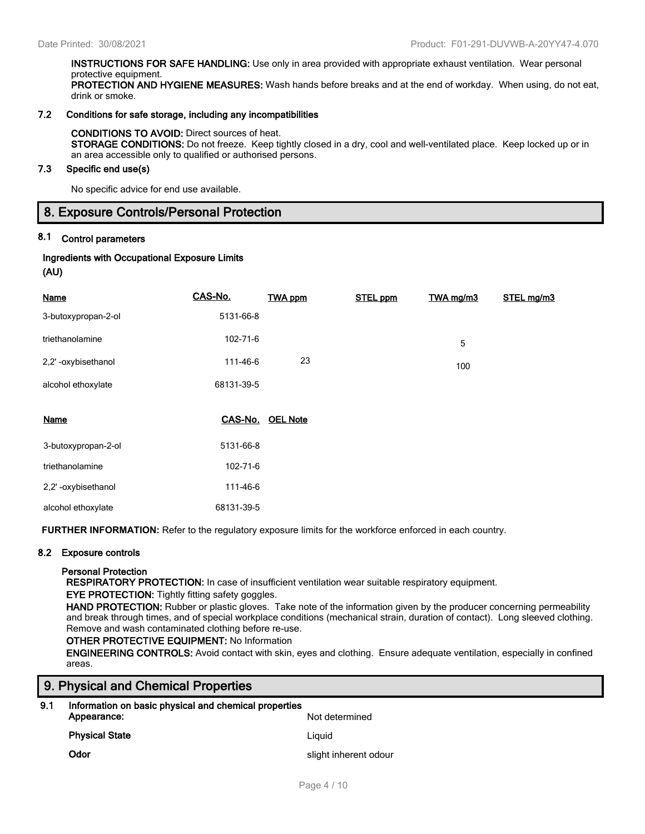**INSTRUCTIONS FOR SAFE HANDLING:** Use only in area provided with appropriate exhaust ventilation. Wear personal protective equipment. **PROTECTION AND HYGIENE MEASURES:** Wash hands before breaks and at the end of workday. When using, do not eat, drink or smoke.

#### **7.2 Conditions for safe storage, including any incompatibilities**

#### **CONDITIONS TO AVOID:** Direct sources of heat.

**STORAGE CONDITIONS:** Do not freeze. Keep tightly closed in a dry, cool and well-ventilated place. Keep locked up or in an area accessible only to qualified or authorised persons.

#### **7.3 Specific end use(s)**

No specific advice for end use available.

# **8. Exposure Controls/Personal Protection**

# **8.1 Control parameters**

# **Ingredients with Occupational Exposure Limits**

**(AU)**

| <b>Name</b>         | CAS-No.    | <b>TWA ppm</b>  | <b>STEL ppm</b> | TWA mg/m3 | STEL mg/m3 |
|---------------------|------------|-----------------|-----------------|-----------|------------|
| 3-butoxypropan-2-ol | 5131-66-8  |                 |                 |           |            |
| triethanolamine     | 102-71-6   |                 |                 | 5         |            |
| 2,2'-oxybisethanol  | 111-46-6   | 23              |                 | 100       |            |
| alcohol ethoxylate  | 68131-39-5 |                 |                 |           |            |
| <b>Name</b>         | CAS-No.    | <b>OEL Note</b> |                 |           |            |
| 3-butoxypropan-2-ol | 5131-66-8  |                 |                 |           |            |
| triethanolamine     | 102-71-6   |                 |                 |           |            |
| 2,2'-oxybisethanol  | 111-46-6   |                 |                 |           |            |
| alcohol ethoxylate  |            |                 |                 |           |            |

**FURTHER INFORMATION:** Refer to the regulatory exposure limits for the workforce enforced in each country.

#### **8.2 Exposure controls**

#### **Personal Protection**

**RESPIRATORY PROTECTION:** In case of insufficient ventilation wear suitable respiratory equipment.

#### **EYE PROTECTION:** Tightly fitting safety goggles.

**HAND PROTECTION:** Rubber or plastic gloves. Take note of the information given by the producer concerning permeability and break through times, and of special workplace conditions (mechanical strain, duration of contact). Long sleeved clothing. Remove and wash contaminated clothing before re-use.

#### **OTHER PROTECTIVE EQUIPMENT:** No Information

**ENGINEERING CONTROLS:** Avoid contact with skin, eyes and clothing. Ensure adequate ventilation, especially in confined areas.

# **9. Physical and Chemical Properties**

| 9.1 | Information on basic physical and chemical properties<br>Appearance:<br>Not determined |                       |  |  |  |
|-----|----------------------------------------------------------------------------------------|-----------------------|--|--|--|
|     | <b>Physical State</b>                                                                  | Liauid                |  |  |  |
|     | Odor                                                                                   | slight inherent odour |  |  |  |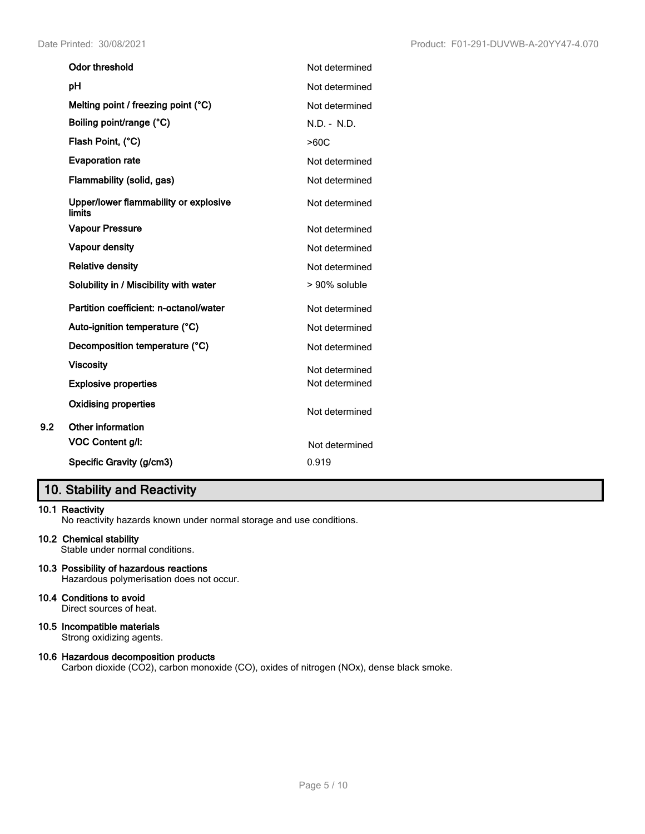| <b>Odor threshold</b>                           | Not determined |
|-------------------------------------------------|----------------|
| рH                                              | Not determined |
| Melting point / freezing point (°C)             | Not determined |
| Boiling point/range (°C)                        | $N.D. - N.D.$  |
| Flash Point, (°C)                               | >60C           |
| <b>Evaporation rate</b>                         | Not determined |
| Flammability (solid, gas)                       | Not determined |
| Upper/lower flammability or explosive<br>limits | Not determined |
| <b>Vapour Pressure</b>                          | Not determined |
| Vapour density                                  | Not determined |
| <b>Relative density</b>                         | Not determined |
| Solubility in / Miscibility with water          | > 90% soluble  |
| Partition coefficient: n-octanol/water          | Not determined |
| Auto-ignition temperature (°C)                  | Not determined |
| Decomposition temperature (°C)                  | Not determined |
| <b>Viscosity</b>                                | Not determined |
| <b>Explosive properties</b>                     | Not determined |
| <b>Oxidising properties</b>                     | Not determined |
| <b>Other information</b>                        |                |
| VOC Content g/l:                                | Not determined |
| Specific Gravity (g/cm3)                        | 0.919          |

# **10. Stability and Reactivity**

# **10.1 Reactivity**

**9.2** 

No reactivity hazards known under normal storage and use conditions.

### **10.2 Chemical stability**

Stable under normal conditions.

**10.3 Possibility of hazardous reactions** Hazardous polymerisation does not occur.

### **10.4 Conditions to avoid**

Direct sources of heat.

# **10.5 Incompatible materials**

Strong oxidizing agents.

# **10.6 Hazardous decomposition products**

Carbon dioxide (CO2), carbon monoxide (CO), oxides of nitrogen (NOx), dense black smoke.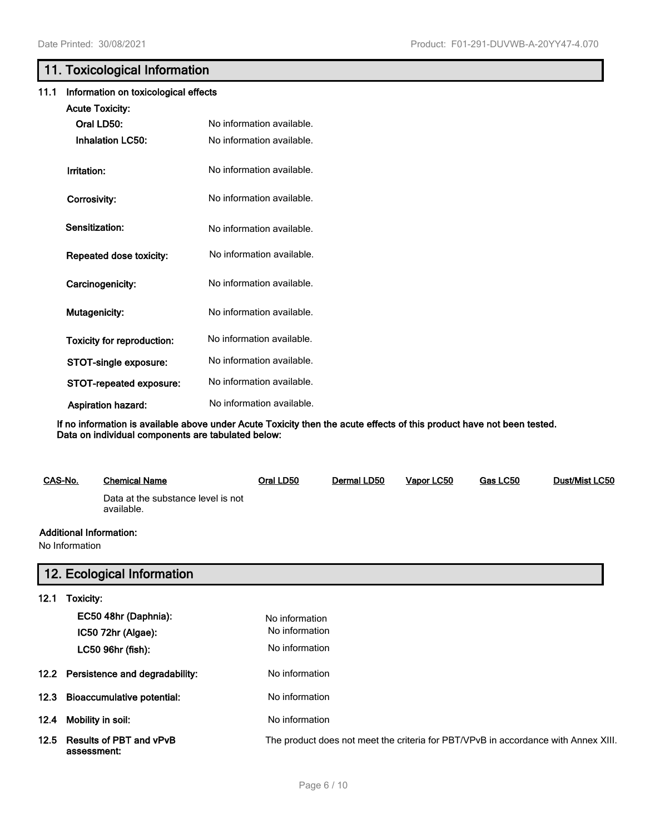# **11. Toxicological Information**

# **11.1 Information on toxicological effects**

| <b>Acute Toxicity:</b>     |                                                        |
|----------------------------|--------------------------------------------------------|
| Oral LD50:                 | No information available.                              |
| <b>Inhalation LC50:</b>    | No information available.                              |
| Irritation:                | No information available.                              |
| Corrosivity:               | No information available.                              |
| Sensitization:             | No information available.                              |
| Repeated dose toxicity:    | No information available.                              |
| Carcinogenicity:           | No information available.                              |
| <b>Mutagenicity:</b>       | No information available.<br>No information available. |
| Toxicity for reproduction: |                                                        |
| STOT-single exposure:      | No information available.                              |
| STOT-repeated exposure:    | No information available.                              |
| <b>Aspiration hazard:</b>  | No information available.                              |

**If no information is available above under Acute Toxicity then the acute effects of this product have not been tested. Data on individual components are tabulated below:**

| CAS-No.                        | <b>Chemical Name</b>                             | Oral LD50 | Dermal LD50 | Vapor LC50 | Gas LC50 | <b>Dust/Mist LC50</b> |
|--------------------------------|--------------------------------------------------|-----------|-------------|------------|----------|-----------------------|
|                                | Data at the substance level is not<br>available. |           |             |            |          |                       |
| <b>Additional Information:</b> |                                                  |           |             |            |          |                       |
| No Information                 |                                                  |           |             |            |          |                       |

# **12. Ecological Information**

| 12.1 | Toxicity:                                     |                                                                                    |
|------|-----------------------------------------------|------------------------------------------------------------------------------------|
|      | EC50 48hr (Daphnia):<br>IC50 72hr (Algae):    | No information<br>No information                                                   |
|      | LC50 96hr (fish):                             | No information                                                                     |
|      | 12.2 Persistence and degradability:           | No information                                                                     |
|      | 12.3 Bioaccumulative potential:               | No information                                                                     |
| 12.4 | Mobility in soil:                             | No information                                                                     |
| 12.5 | <b>Results of PBT and vPvB</b><br>assessment: | The product does not meet the criteria for PBT/VPvB in accordance with Annex XIII. |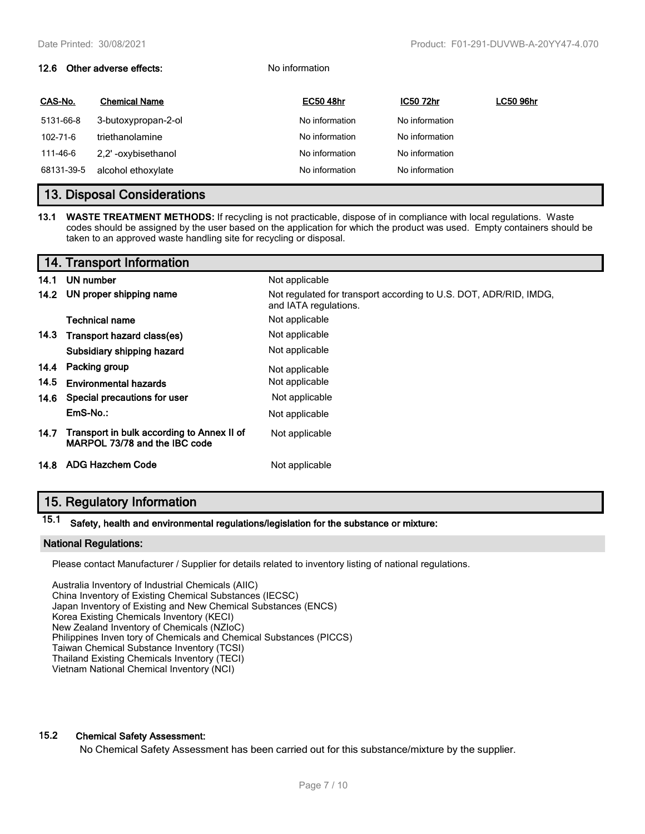# **12.6 Other adverse effects:** No information **CAS-No. Chemical Name EC50 48hr IC50 72hr LC50 96hr** 5131-66-8 3-butoxypropan-2-ol **No information** No information No information 102-71-6 triethanolamine **No information** No information No information 111-46-6 2,2' -oxybisethanol No information No information 68131-39-5 alcohol ethoxylate **No information** No information No information

# **13. Disposal Considerations**

**13.1 WASTE TREATMENT METHODS:** If recycling is not practicable, dispose of in compliance with local regulations. Waste codes should be assigned by the user based on the application for which the product was used. Empty containers should be taken to an approved waste handling site for recycling or disposal.

|      | 14. Transport Information                                                   |                                                                                            |
|------|-----------------------------------------------------------------------------|--------------------------------------------------------------------------------------------|
| 14.1 | UN number                                                                   | Not applicable                                                                             |
| 14.2 | UN proper shipping name                                                     | Not regulated for transport according to U.S. DOT, ADR/RID, IMDG,<br>and IATA regulations. |
|      | Technical name                                                              | Not applicable                                                                             |
| 14.3 | Transport hazard class(es)                                                  | Not applicable                                                                             |
|      | Subsidiary shipping hazard                                                  | Not applicable                                                                             |
| 14.4 | Packing group                                                               | Not applicable                                                                             |
| 14.5 | <b>Environmental hazards</b>                                                | Not applicable                                                                             |
| 14.6 | Special precautions for user                                                | Not applicable                                                                             |
|      | EmS-No.:                                                                    | Not applicable                                                                             |
| 14.7 | Transport in bulk according to Annex II of<br>MARPOL 73/78 and the IBC code | Not applicable                                                                             |
|      | 14.8 ADG Hazchem Code                                                       | Not applicable                                                                             |

# **15. Regulatory Information**

# **15.1 Safety, health and environmental regulations/legislation for the substance or mixture:**

#### **National Regulations:**

Please contact Manufacturer / Supplier for details related to inventory listing of national regulations.

Australia Inventory of Industrial Chemicals (AIIC) China Inventory of Existing Chemical Substances (IECSC) Japan Inventory of Existing and New Chemical Substances (ENCS) Korea Existing Chemicals Inventory (KECI) New Zealand Inventory of Chemicals (NZIoC) Philippines Inven tory of Chemicals and Chemical Substances (PICCS) Taiwan Chemical Substance Inventory (TCSI) Thailand Existing Chemicals Inventory (TECI) Vietnam National Chemical Inventory (NCI)

# **15.2 Chemical Safety Assessment:**

No Chemical Safety Assessment has been carried out for this substance/mixture by the supplier.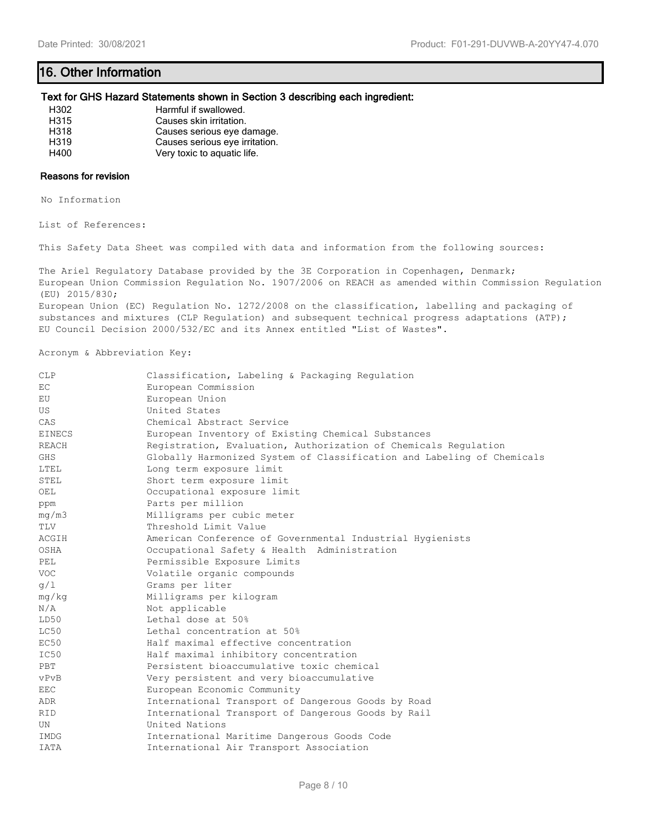# **16. Other Information**

#### **Text for GHS Hazard Statements shown in Section 3 describing each ingredient:**

| H302             | Harmful if swallowed.          |
|------------------|--------------------------------|
| H315             | Causes skin irritation.        |
| H318             | Causes serious eye damage.     |
| H <sub>319</sub> | Causes serious eye irritation. |
| H400             | Very toxic to aquatic life.    |

### **Reasons for revision**

No Information

List of References:

This Safety Data Sheet was compiled with data and information from the following sources:

The Ariel Regulatory Database provided by the 3E Corporation in Copenhagen, Denmark; European Union Commission Regulation No. 1907/2006 on REACH as amended within Commission Regulation (EU) 2015/830;

European Union (EC) Regulation No. 1272/2008 on the classification, labelling and packaging of substances and mixtures (CLP Regulation) and subsequent technical progress adaptations (ATP); EU Council Decision 2000/532/EC and its Annex entitled "List of Wastes".

Acronym & Abbreviation Key:

| <b>CLP</b>    | Classification, Labeling & Packaging Regulation                        |
|---------------|------------------------------------------------------------------------|
| EC            | European Commission                                                    |
| EU            | European Union                                                         |
| US.           | United States                                                          |
| CAS           | Chemical Abstract Service                                              |
| <b>EINECS</b> | European Inventory of Existing Chemical Substances                     |
| <b>REACH</b>  | Registration, Evaluation, Authorization of Chemicals Regulation        |
| <b>GHS</b>    | Globally Harmonized System of Classification and Labeling of Chemicals |
| LTEL          | Long term exposure limit                                               |
| STEL          | Short term exposure limit                                              |
| OEL           | Occupational exposure limit                                            |
| ppm           | Parts per million                                                      |
| mg/m3         | Milligrams per cubic meter                                             |
| TLV           | Threshold Limit Value                                                  |
| ACGIH         | American Conference of Governmental Industrial Hygienists              |
| OSHA          | Occupational Safety & Health Administration                            |
| PEL.          | Permissible Exposure Limits                                            |
| <b>VOC</b>    | Volatile organic compounds                                             |
| q/1           | Grams per liter                                                        |
| mg/kg         | Milligrams per kilogram                                                |
| N/A           | Not applicable                                                         |
| LD50          | Lethal dose at 50%                                                     |
| LC50          | Lethal concentration at 50%                                            |
| EC50          | Half maximal effective concentration                                   |
| IC50          | Half maximal inhibitory concentration                                  |
| PBT           | Persistent bioaccumulative toxic chemical                              |
| vPvB          | Very persistent and very bioaccumulative                               |
| <b>EEC</b>    | European Economic Community                                            |
| ADR           | International Transport of Dangerous Goods by Road                     |
| <b>RID</b>    | International Transport of Dangerous Goods by Rail                     |
| UN            | United Nations                                                         |
| <b>IMDG</b>   | International Maritime Dangerous Goods Code                            |
| <b>IATA</b>   | International Air Transport Association                                |